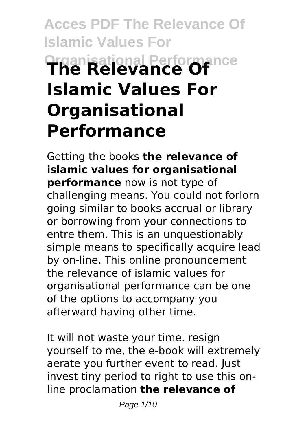# **Acces PDF The Relevance Of Islamic Values For Organisational Performance The Relevance Of Islamic Values For Organisational Performance**

Getting the books **the relevance of islamic values for organisational performance** now is not type of challenging means. You could not forlorn going similar to books accrual or library or borrowing from your connections to entre them. This is an unquestionably simple means to specifically acquire lead by on-line. This online pronouncement the relevance of islamic values for organisational performance can be one of the options to accompany you afterward having other time.

It will not waste your time. resign yourself to me, the e-book will extremely aerate you further event to read. Just invest tiny period to right to use this online proclamation **the relevance of**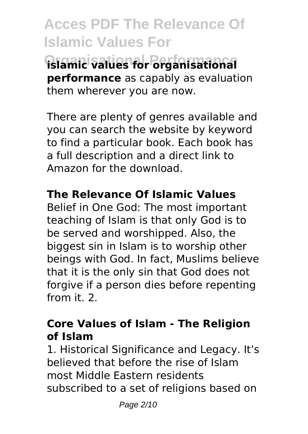**Acces PDF The Relevance Of Islamic Values For Organisational Performance islamic values for organisational performance** as capably as evaluation them wherever you are now.

There are plenty of genres available and you can search the website by keyword to find a particular book. Each book has a full description and a direct link to Amazon for the download.

### **The Relevance Of Islamic Values**

Belief in One God: The most important teaching of Islam is that only God is to be served and worshipped. Also, the biggest sin in Islam is to worship other beings with God. In fact, Muslims believe that it is the only sin that God does not forgive if a person dies before repenting from it. 2.

### **Core Values of Islam - The Religion of Islam**

1. Historical Significance and Legacy. It's believed that before the rise of Islam most Middle Eastern residents subscribed to a set of religions based on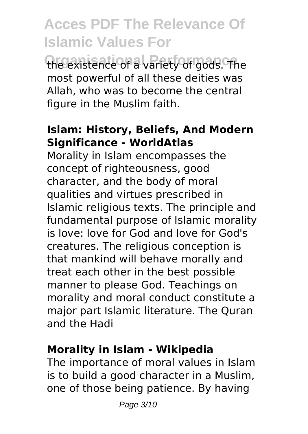**Acces PDF The Relevance Of Islamic Values For Organisational Performance** the existence of a variety of gods. The most powerful of all these deities was Allah, who was to become the central figure in the Muslim faith.

#### **Islam: History, Beliefs, And Modern Significance - WorldAtlas**

Morality in Islam encompasses the concept of righteousness, good character, and the body of moral qualities and virtues prescribed in Islamic religious texts. The principle and fundamental purpose of Islamic morality is love: love for God and love for God's creatures. The religious conception is that mankind will behave morally and treat each other in the best possible manner to please God. Teachings on morality and moral conduct constitute a major part Islamic literature. The Quran and the Hadi

#### **Morality in Islam - Wikipedia**

The importance of moral values in Islam is to build a good character in a Muslim, one of those being patience. By having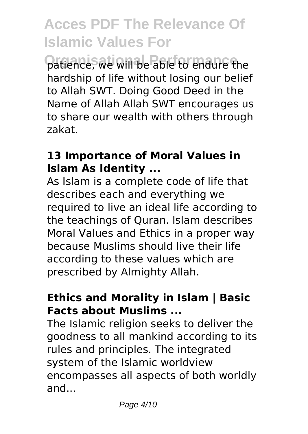patience, we will be able to endure the hardship of life without losing our belief to Allah SWT. Doing Good Deed in the Name of Allah Allah SWT encourages us to share our wealth with others through zakat.

#### **13 Importance of Moral Values in Islam As Identity ...**

As Islam is a complete code of life that describes each and everything we required to live an ideal life according to the teachings of Quran. Islam describes Moral Values and Ethics in a proper way because Muslims should live their life according to these values which are prescribed by Almighty Allah.

#### **Ethics and Morality in Islam | Basic Facts about Muslims ...**

The Islamic religion seeks to deliver the goodness to all mankind according to its rules and principles. The integrated system of the Islamic worldview encompasses all aspects of both worldly and...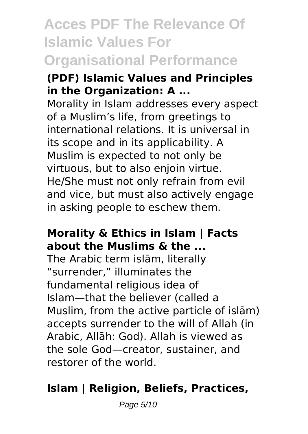# **Acces PDF The Relevance Of Islamic Values For Organisational Performance**

#### **(PDF) Islamic Values and Principles in the Organization: A ...**

Morality in Islam addresses every aspect of a Muslim's life, from greetings to international relations. It is universal in its scope and in its applicability. A Muslim is expected to not only be virtuous, but to also enjoin virtue. He/She must not only refrain from evil and vice, but must also actively engage in asking people to eschew them.

#### **Morality & Ethics in Islam | Facts about the Muslims & the ...**

The Arabic term islām, literally "surrender," illuminates the fundamental religious idea of Islam—that the believer (called a Muslim, from the active particle of islām) accepts surrender to the will of Allah (in Arabic, Allāh: God). Allah is viewed as the sole God—creator, sustainer, and restorer of the world.

### **Islam | Religion, Beliefs, Practices,**

Page 5/10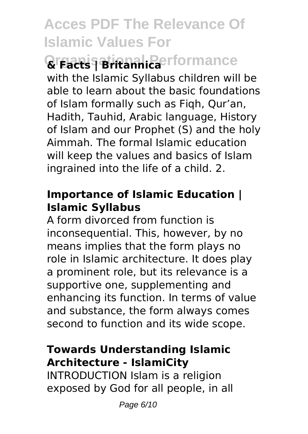### **Organisational Performance & Facts | Britannica**

with the Islamic Syllabus children will be able to learn about the basic foundations of Islam formally such as Fiqh, Qur'an, Hadith, Tauhid, Arabic language, History of Islam and our Prophet (S) and the holy Aimmah. The formal Islamic education will keep the values and basics of Islam ingrained into the life of a child. 2.

#### **Importance of Islamic Education | Islamic Syllabus**

A form divorced from function is inconsequential. This, however, by no means implies that the form plays no role in Islamic architecture. It does play a prominent role, but its relevance is a supportive one, supplementing and enhancing its function. In terms of value and substance, the form always comes second to function and its wide scope.

#### **Towards Understanding Islamic Architecture - IslamiCity**

INTRODUCTION Islam is a religion exposed by God for all people, in all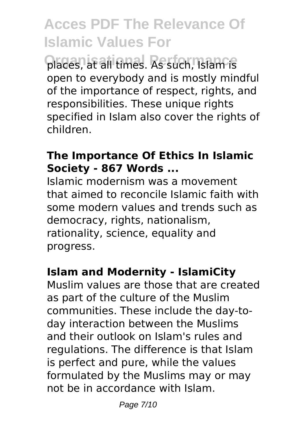**Organisational Performance** places, at all times. As such, Islam is open to everybody and is mostly mindful of the importance of respect, rights, and responsibilities. These unique rights specified in Islam also cover the rights of children.

#### **The Importance Of Ethics In Islamic Society - 867 Words ...**

Islamic modernism was a movement that aimed to reconcile Islamic faith with some modern values and trends such as democracy, rights, nationalism, rationality, science, equality and progress.

#### **Islam and Modernity - IslamiCity**

Muslim values are those that are created as part of the culture of the Muslim communities. These include the day-today interaction between the Muslims and their outlook on Islam's rules and regulations. The difference is that Islam is perfect and pure, while the values formulated by the Muslims may or may not be in accordance with Islam.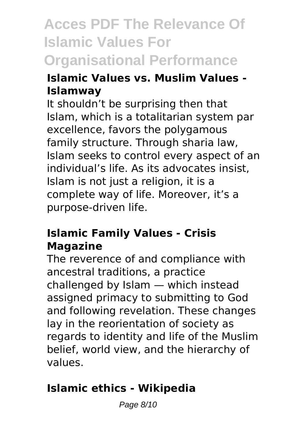# **Acces PDF The Relevance Of Islamic Values For Organisational Performance**

#### **Islamic Values vs. Muslim Values - Islamway**

It shouldn't be surprising then that Islam, which is a totalitarian system par excellence, favors the polygamous family structure. Through sharia law, Islam seeks to control every aspect of an individual's life. As its advocates insist, Islam is not just a religion, it is a complete way of life. Moreover, it's a purpose-driven life.

#### **Islamic Family Values - Crisis Magazine**

The reverence of and compliance with ancestral traditions, a practice challenged by Islam — which instead assigned primacy to submitting to God and following revelation. These changes lay in the reorientation of society as regards to identity and life of the Muslim belief, world view, and the hierarchy of values.

### **Islamic ethics - Wikipedia**

Page 8/10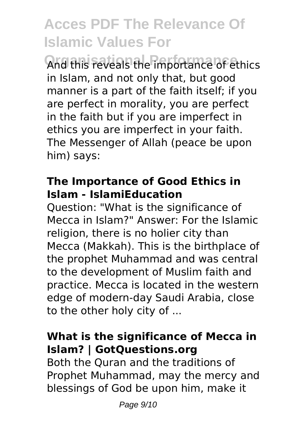And this reveals the importance of ethics in Islam, and not only that, but good manner is a part of the faith itself; if you are perfect in morality, you are perfect in the faith but if you are imperfect in ethics you are imperfect in your faith. The Messenger of Allah (peace be upon him) says:

#### **The Importance of Good Ethics in Islam - IslamiEducation**

Question: "What is the significance of Mecca in Islam?" Answer: For the Islamic religion, there is no holier city than Mecca (Makkah). This is the birthplace of the prophet Muhammad and was central to the development of Muslim faith and practice. Mecca is located in the western edge of modern-day Saudi Arabia, close to the other holy city of ...

#### **What is the significance of Mecca in Islam? | GotQuestions.org**

Both the Quran and the traditions of Prophet Muhammad, may the mercy and blessings of God be upon him, make it